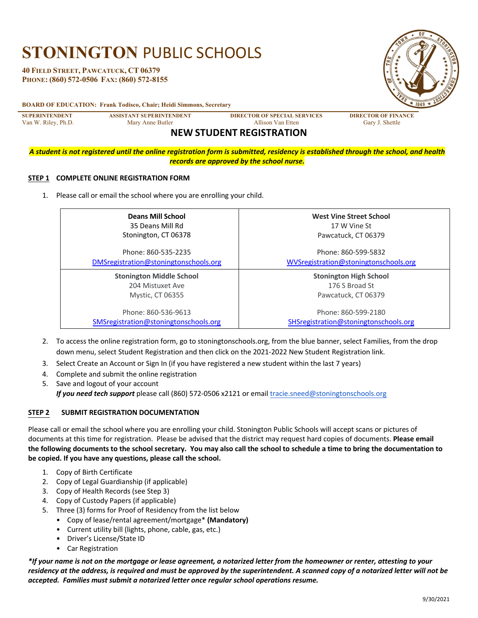# **STONINGTON** PUBLIC SCHOOLS

**40 FIELD STREET, PAWCATUCK, CT 06379 PHONE: (860) 572-0506 FAX: (860) 572-8155**  1649

#### **BOARD OF EDUCATION: Frank Todisco, Chair; Heidi Simmons, Secretary**

**SUPERINTENDENT ASSISTANT SUPERINTENDENT DIRECTOR OF SPECIAL SERVICES DIRECTOR OF FINANCE**

Van W. Riley, Ph.D. Mary Anne Butler Allison Van Etten Gary J. Shettle

## **NEW STUDENT REGISTRATION**

*A student is not registered until the online registration form is submitted, residency is established through the school, and health records are approved by the school nurse.*

#### **STEP 1 COMPLETE ONLINE REGISTRATION FORM**

1. Please call or email the school where you are enrolling your child.

| <b>Deans Mill School</b>              | West Vine Street School               |
|---------------------------------------|---------------------------------------|
| 35 Deans Mill Rd                      | 17 W Vine St                          |
| Stonington, CT 06378                  | Pawcatuck, CT 06379                   |
| Phone: 860-535-2235                   | Phone: 860-599-5832                   |
| DMSregistration@stoningtonschools.org | WVSregistration@stoningtonschools.org |
| <b>Stonington Middle School</b>       | <b>Stonington High School</b>         |
| 204 Mistuxet Ave                      | 176 S Broad St                        |
| <b>Mystic, CT 06355</b>               | Pawcatuck, CT 06379                   |
| Phone: 860-536-9613                   | Phone: 860-599-2180                   |
| SMSregistration@stoningtonschools.org | SHSregistration@stoningtonschools.org |

- 2. To access the online registration form, go to stoningtonschools.org, from the blue banner, select Families, from the drop down menu, select Student Registration and then click on the 2021-2022 New Student Registration link.
- 3. Select Create an Account or Sign In (if you have registered a new student within the last 7 years)
- 4. Complete and submit the online registration
- 5. Save and logout of your account *If you need tech support* please call (860) 572-0506 x2121 or email tracie.sneed@stoningtonschools.org

#### **STEP 2 SUBMIT REGISTRATION DOCUMENTATION**

Please call or email the school where you are enrolling your child. Stonington Public Schools will accept scans or pictures of documents at this time for registration. Please be advised that the district may request hard copies of documents. **Please email the following documents to the school secretary. You may also call the school to schedule a time to bring the documentation to be copied. If you have any questions, please call the school.**

- 1. Copy of Birth Certificate
- 2. Copy of Legal Guardianship (if applicable)
- 3. Copy of Health Records (see Step 3)
- 4. Copy of Custody Papers (if applicable)
- 5. Three (3) forms for Proof of Residency from the list below
	- Copy of lease/rental agreement/mortgage\* **(Mandatory)**
	- Current utility bill (lights, phone, cable, gas, etc.)
	- Driver's License/State ID
	- Car Registration

*\*If your name is not on the mortgage or lease agreement, a notarized letter from the homeowner or renter, attesting to your residency at the address, is required and must be approved by the superintendent. A scanned copy of a notarized letter will not be accepted. Families must submit a notarized letter once regular school operations resume.*